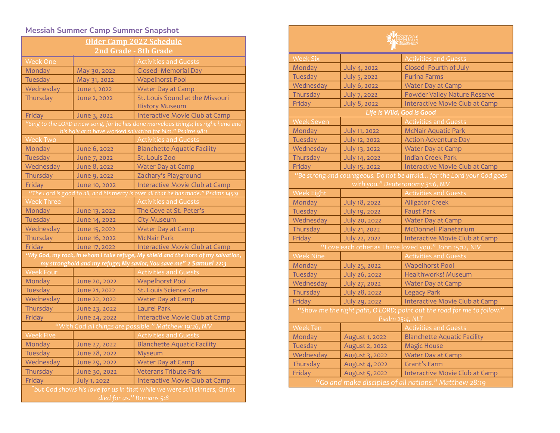## **Messiah Summer Camp Summer Snapshot**

| <b>Older Camp 2022 Schedule</b>                                                                                                                |               |                                       |  |
|------------------------------------------------------------------------------------------------------------------------------------------------|---------------|---------------------------------------|--|
| 2nd Grade - 8th Grade                                                                                                                          |               |                                       |  |
| <b>Week One</b>                                                                                                                                |               | <b>Activities and Guests</b>          |  |
| Monday                                                                                                                                         | May 30, 2022  | <b>Closed- Memorial Day</b>           |  |
| Tuesday                                                                                                                                        | May 31, 2022  | <b>Wapelhorst Pool</b>                |  |
| Wednesday                                                                                                                                      | June 1, 2022  | <b>Water Day at Camp</b>              |  |
| Thursday                                                                                                                                       | June 2, 2022  | St. Louis Sound at the Missouri       |  |
|                                                                                                                                                |               | <b>History Museum</b>                 |  |
| Friday                                                                                                                                         | June 3, 2022  | Interactive Movie Club at Camp        |  |
| "Sing to the LORD a new song, for he has done marvelous things; his right hand and<br>his holy arm have worked salvation for him." Psalms 98:1 |               |                                       |  |
| <b>Week Two</b>                                                                                                                                |               | <b>Activities and Guests</b>          |  |
| Monday                                                                                                                                         | June 6, 2022  | <b>Blanchette Aquatic Facility</b>    |  |
| <b>Tuesday</b>                                                                                                                                 | June 7, 2022  | St. Louis Zoo                         |  |
| Wednesday                                                                                                                                      | June 8, 2022  | <b>Water Day at Camp</b>              |  |
| Thursday                                                                                                                                       | June 9, 2022  | Zachary's Playground                  |  |
| Friday                                                                                                                                         | June 10, 2022 | <b>Interactive Movie Club at Camp</b> |  |
| "The Lord is good to all, and his mercy is over all that he has made." Psalms 145:9                                                            |               |                                       |  |
| <b>Week Three</b>                                                                                                                              |               | <b>Activities and Guests</b>          |  |
| Monday                                                                                                                                         | June 13, 2022 | The Cove at St. Peter's               |  |
| Tuesday                                                                                                                                        | June 14, 2022 | <b>City Museum</b>                    |  |
| Wednesday                                                                                                                                      | June 15, 2022 | Water Day at Camp                     |  |
| Thursday                                                                                                                                       | June 16, 2022 | <b>McNair Park</b>                    |  |
| Friday                                                                                                                                         | June 17, 2022 | Interactive Movie Club at Camp        |  |
| "My God, my rock, in whom I take refuge, My shield and the horn of my salvation,                                                               |               |                                       |  |
| my stronghold and my refuge; My savior, You save me" 2 Samuel 22:3                                                                             |               |                                       |  |
| <b>Week Four</b>                                                                                                                               |               | <b>Activities and Guests</b>          |  |
| Monday                                                                                                                                         | June 20, 2022 | <b>Wapelhorst Pool</b>                |  |
| <b>Tuesday</b>                                                                                                                                 | June 21, 2022 | St. Louis Science Center              |  |
| Wednesday                                                                                                                                      | June 22, 2022 | <b>Water Day at Camp</b>              |  |
| Thursday                                                                                                                                       | June 23, 2022 | <b>Laurel Park</b>                    |  |
| Friday                                                                                                                                         | June 24, 2022 | Interactive Movie Club at Camp        |  |
| "With God all things are possible." Matthew 19:26, NIV                                                                                         |               |                                       |  |
| <b>Week Five</b>                                                                                                                               |               | <b>Activities and Guests</b>          |  |
| Monday                                                                                                                                         | June 27, 2022 | <b>Blanchette Aquatic Facility</b>    |  |
| Tuesday                                                                                                                                        | June 28, 2022 | Myseum                                |  |
| Wednesday                                                                                                                                      | June 29, 2022 | <b>Water Day at Camp</b>              |  |
| Thursday                                                                                                                                       | June 30, 2022 | <b>Veterans Tribute Park</b>          |  |
| Friday                                                                                                                                         | July 1, 2022  | <b>Interactive Movie Club at Camp</b> |  |
| but God shows his love for us in that while we were still sinners, Christ <sup>'</sup><br>died for us." Romans 5:8                             |               |                                       |  |

| <b>TESEKNH</b>                                                                                             |                      |                                       |
|------------------------------------------------------------------------------------------------------------|----------------------|---------------------------------------|
| <b>Week Six</b>                                                                                            |                      | <b>Activities and Guests</b>          |
| Monday                                                                                                     | July 4, 2022         | Closed-Fourth of July                 |
| Tuesday                                                                                                    | July 5, 2022         | <b>Purina Farms</b>                   |
| Wednesday                                                                                                  | July 6, 2022         | <b>Water Day at Camp</b>              |
| Thursday                                                                                                   | July 7, 2022         | Powder Valley Nature Reserve          |
| Friday                                                                                                     | July 8, 2022         | <b>Interactive Movie Club at Camp</b> |
| Life is Wild, God is Good                                                                                  |                      |                                       |
| <b>Week Seven</b>                                                                                          |                      | <b>Activities and Guests</b>          |
| Monday                                                                                                     | <b>July 11, 2022</b> | <b>McNair Aquatic Park</b>            |
| Tuesday                                                                                                    | July 12, 2022        | <b>Action Adventure Day</b>           |
| Wednesday                                                                                                  | July 13, 2022        | <b>Water Day at Camp</b>              |
| Thursday                                                                                                   | July 14, 2022        | <b>Indian Creek Park</b>              |
| Friday                                                                                                     | July 15, 2022        | Interactive Movie Club at Camp        |
| "Be strong and courageous. Do not be afraid for the Lord your God goes<br>with you." Deuteronomy 31:6, NIV |                      |                                       |
| <b>Week Eight</b>                                                                                          |                      | <b>Activities and Guests</b>          |
| Monday                                                                                                     | July 18, 2022        | <b>Alligator Creek</b>                |
| Tuesday                                                                                                    | July 19, 2022        | <b>Faust Park</b>                     |
| Wednesday                                                                                                  | July 20, 2022        | Water Day at Camp                     |
| Thursday                                                                                                   | July 21, 2022        | <b>McDonnell Planetarium</b>          |
| Friday                                                                                                     | July 22, 2022        | Interactive Movie Club at Camp        |
| "Love each other as I have loved you." John 15:12, NIV                                                     |                      |                                       |
| <b>Week Nine</b>                                                                                           |                      | <b>Activities and Guests</b>          |
| Monday                                                                                                     | July 25, 2022        | <b>Wapelhorst Pool</b>                |
| Tuesday                                                                                                    | July 26, 2022        | Healthworks! Museum                   |
| Wednesday                                                                                                  | July 27, 2022        | <b>Water Day at Camp</b>              |
| Thursday                                                                                                   | July 28, 2022        | <b>Legacy Park</b>                    |
| Friday                                                                                                     | July 29, 2022        | Interactive Movie Club at Camp        |
| "Show me the right path, O LORD; point out the road for me to follow."<br>Psalm 25:4, NLT                  |                      |                                       |
| <b>Week Ten</b>                                                                                            |                      | <b>Activities and Guests</b>          |
| Monday                                                                                                     | August 1, 2022       | <b>Blanchette Aquatic Facility</b>    |
| Tuesday                                                                                                    | August 2, 2022       | <b>Magic House</b>                    |
| Wednesday                                                                                                  | August 3, 2022       | Water Day at Camp                     |
| Thursday                                                                                                   | August 4, 2022       | <b>Grant's Farm</b>                   |
| Friday                                                                                                     | August 5, 2022       | Interactive Movie Club at Camp        |
| "Go and make disciples of all nations." Matthew 28:19                                                      |                      |                                       |